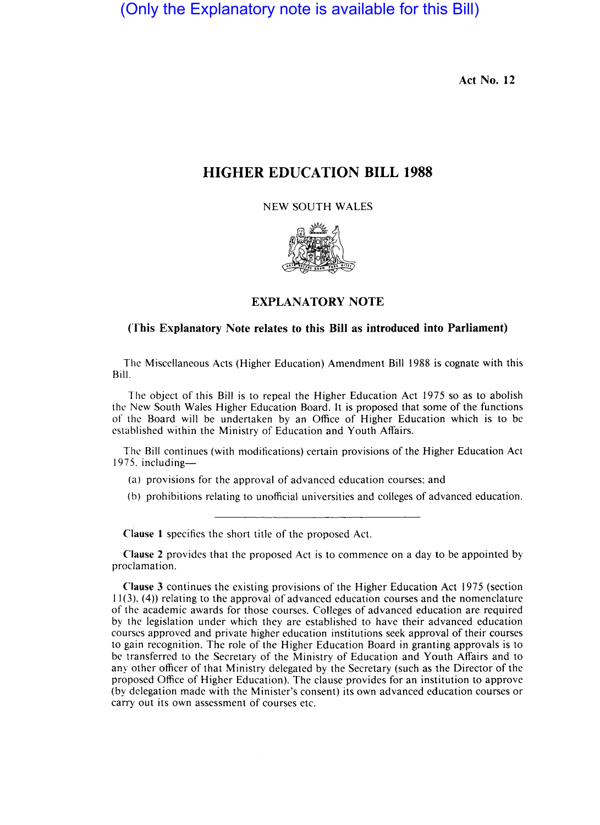(Only the Explanatory note is available for this Bill)

Act No. 12

## **HIGHER** EDUCATION **BILL 1988**

NEW SOUTH WALES



## EXPLANATORY NOTE

## (This Explanatory Note relates to this Bill as introduced into Parliament)

The Miscellaneous Acts (Higher Education) Amendment Bill 1988 is cognate with this Bill.

The object of this Bill is to repeal the Higher Education Act 1975 so as to abolish the New South Wales Higher Education Board. It is proposed that some of the functions of the Board will be undertaken by an Office of Higher Education which is to be established within the Ministry of Education and Youth Affairs.

The Bill continues (with modifications) certain provisions of the Higher Education Act 1975. including-

- (a) provisions for the approval of advanced education courses: and
- (b) prohibitions relating to unofficial universities and colleges of advanced education.

Clause 1 specifies the short title of the proposed Act.

Clause 2 provides that the proposed Act is to commence on a day to be appointed by proclamation.

Clause 3 continues the existing provisions of the Higher Education Act 1975 (section  $11(3)$ ,  $(4)$ ) relating to the approval of advanced education courses and the nomenclature of the academic awards for those courses. Colleges of advanced education are required by the legislation under which they are established 10 have their advanced education courses approved and private higher education institutions seek approval of their courses to gain recognition. The role of the Higher Education Board in granting approvals is to be transferred to the Secretary of the Ministry of Education and Youth Affairs and to any other officer of that Ministry delegated by the Secretary (such as the Director of the proposed Office of Higher Education). The clause provides for an institution to approve (by delegation made with the Minister's consent) its own advanced education courses or carry out its own assessment of courses etc.